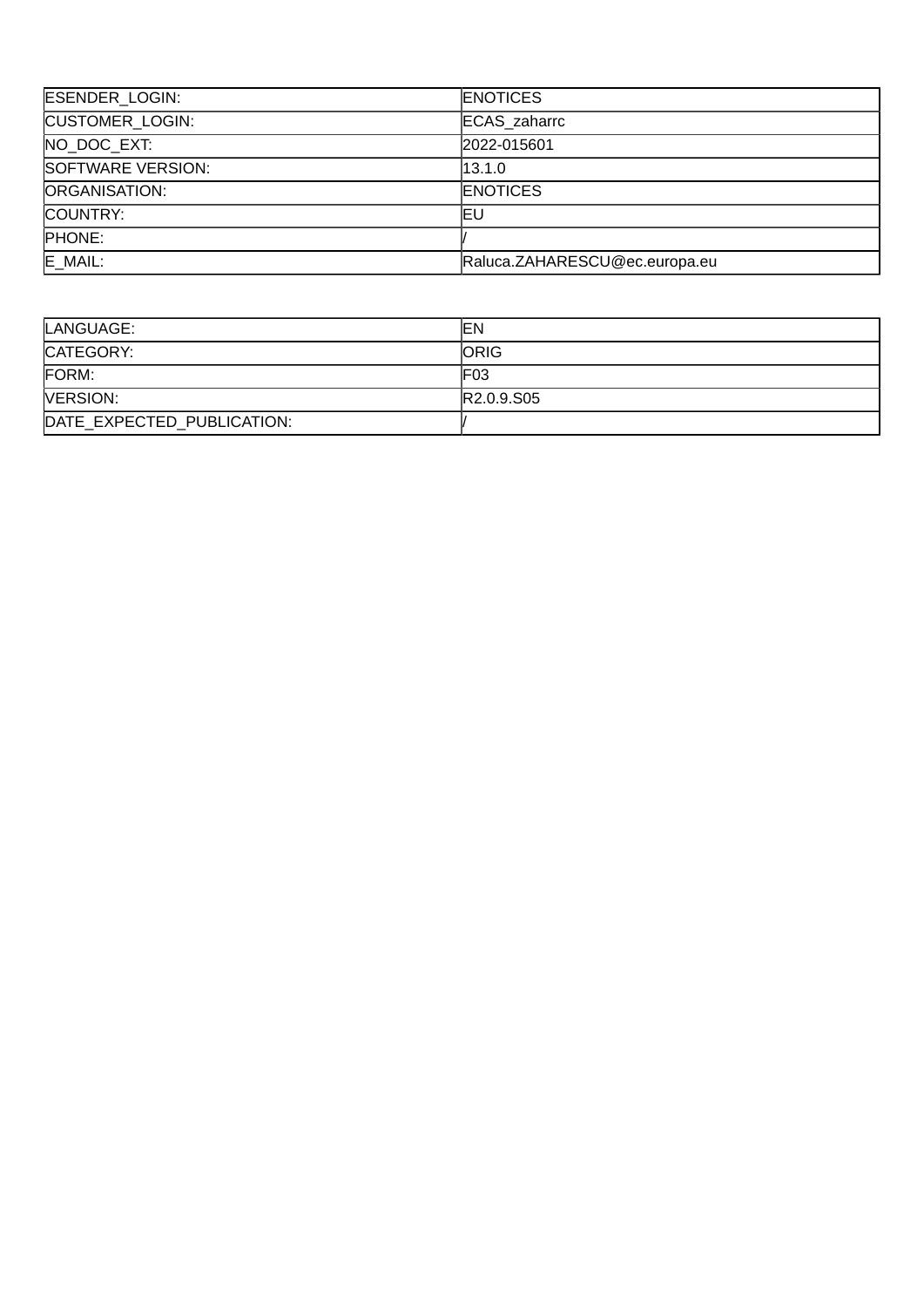| ESENDER_LOGIN:         | <b>ENOTICES</b>               |
|------------------------|-------------------------------|
| <b>CUSTOMER LOGIN:</b> | <b>ECAS</b> zaharrc           |
| NO DOC EXT:            | 2022-015601                   |
| SOFTWARE VERSION:      | 13.1.0                        |
| <b>ORGANISATION:</b>   | <b>ENOTICES</b>               |
| COUNTRY:               | ΙEυ                           |
| PHONE:                 |                               |
| E MAIL:                | Raluca.ZAHARESCU@ec.europa.eu |

| LANGUAGE:                  | lΕN                                 |
|----------------------------|-------------------------------------|
| CATEGORY:                  | <b>ORIG</b>                         |
| FORM:                      | F <sub>03</sub>                     |
| <b>NERSION:</b>            | R <sub>2.0.9</sub> .S <sub>05</sub> |
| DATE EXPECTED PUBLICATION: |                                     |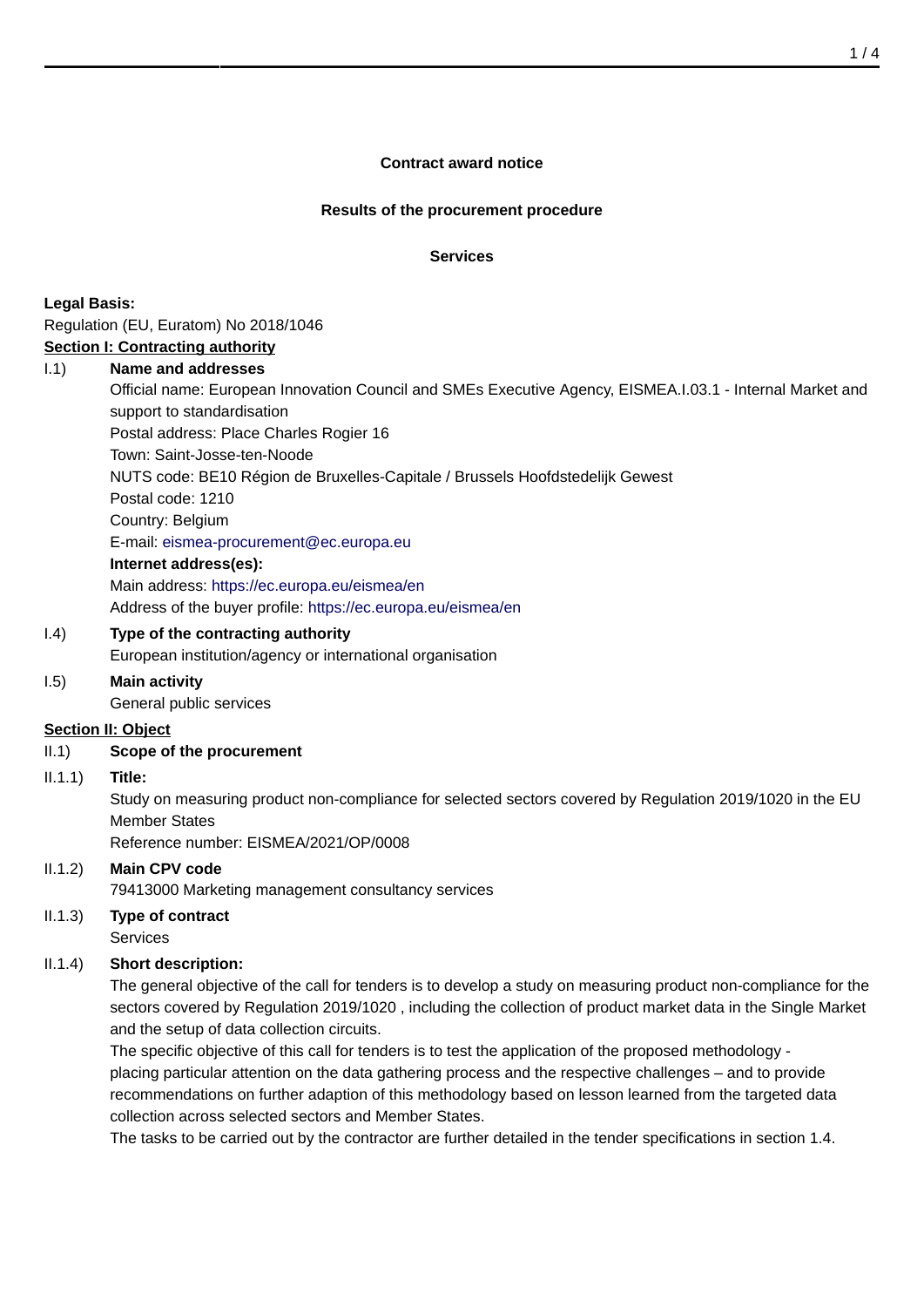### **Contract award notice**

#### **Results of the procurement procedure**

#### **Services**

**Legal Basis:**

Regulation (EU, Euratom) No 2018/1046

# **Section I: Contracting authority**

# I.1) **Name and addresses**

Official name: European Innovation Council and SMEs Executive Agency, EISMEA.I.03.1 - Internal Market and support to standardisation

Postal address: Place Charles Rogier 16

Town: Saint-Josse-ten-Noode

NUTS code: BE10 Région de Bruxelles-Capitale / Brussels Hoofdstedelijk Gewest

Postal code: 1210

Country: Belgium

E-mail: [eismea-procurement@ec.europa.eu](mailto:eismea-procurement@ec.europa.eu)

### **Internet address(es):**

Main address:<https://ec.europa.eu/eismea/en> Address of the buyer profile: <https://ec.europa.eu/eismea/en>

# I.4) **Type of the contracting authority**

European institution/agency or international organisation

### I.5) **Main activity**

General public services

### **Section II: Object**

### II.1) **Scope of the procurement**

### II.1.1) **Title:**

Study on measuring product non-compliance for selected sectors covered by Regulation 2019/1020 in the EU Member States

Reference number: EISMEA/2021/OP/0008

### II.1.2) **Main CPV code**

79413000 Marketing management consultancy services

# II.1.3) **Type of contract**

Services

# II.1.4) **Short description:**

The general objective of the call for tenders is to develop a study on measuring product non-compliance for the sectors covered by Regulation 2019/1020 , including the collection of product market data in the Single Market and the setup of data collection circuits.

The specific objective of this call for tenders is to test the application of the proposed methodology placing particular attention on the data gathering process and the respective challenges – and to provide recommendations on further adaption of this methodology based on lesson learned from the targeted data collection across selected sectors and Member States.

The tasks to be carried out by the contractor are further detailed in the tender specifications in section 1.4.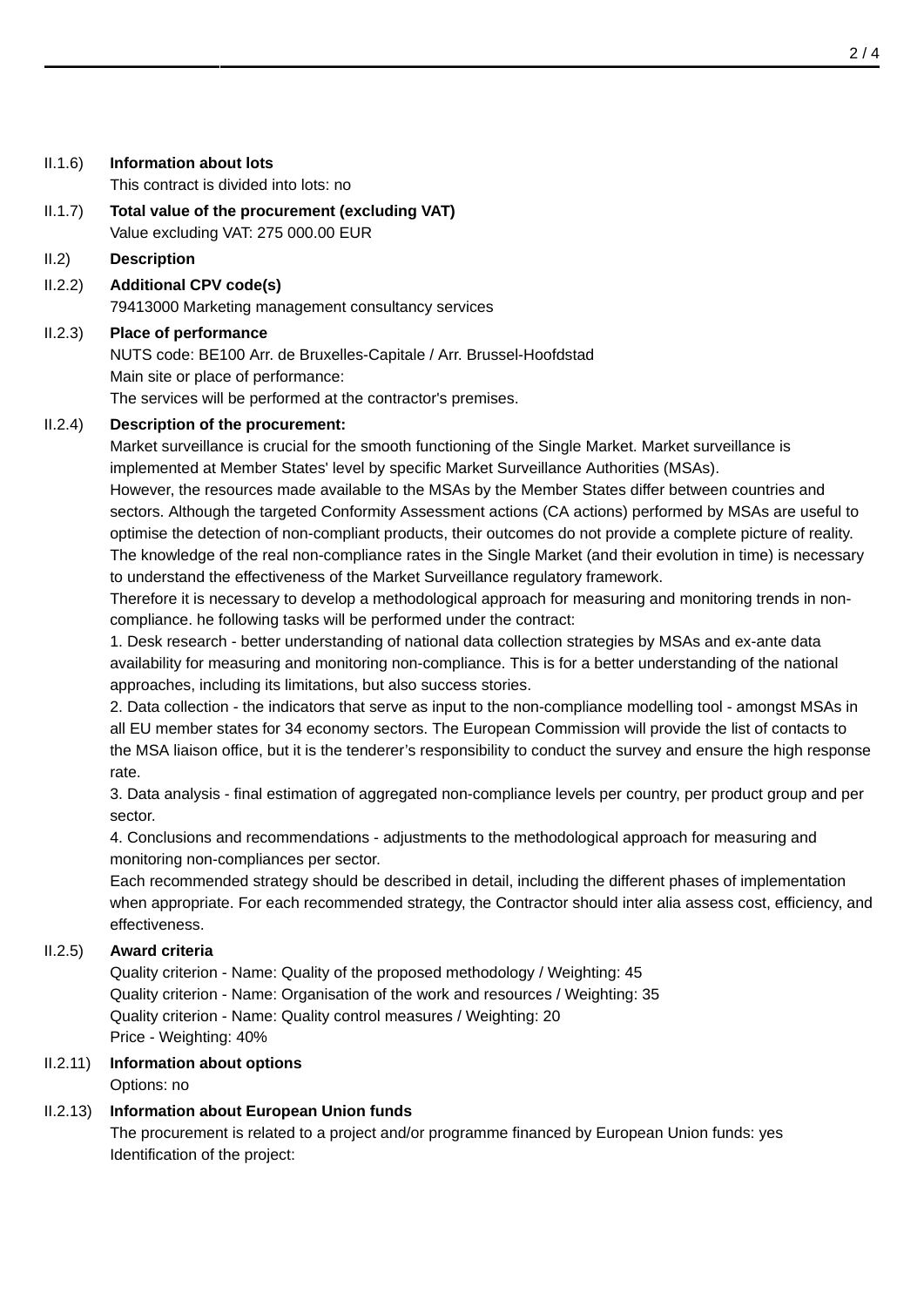| II.1.6)         | <b>Information about lots</b><br>This contract is divided into lots: no                                                                                                                                                                                                                                                                                                                                                                                                                                                                                                                                                                                                                                                                                                                 |
|-----------------|-----------------------------------------------------------------------------------------------------------------------------------------------------------------------------------------------------------------------------------------------------------------------------------------------------------------------------------------------------------------------------------------------------------------------------------------------------------------------------------------------------------------------------------------------------------------------------------------------------------------------------------------------------------------------------------------------------------------------------------------------------------------------------------------|
| $ 1.1.7\rangle$ | Total value of the procurement (excluding VAT)<br>Value excluding VAT: 275 000.00 EUR                                                                                                                                                                                                                                                                                                                                                                                                                                                                                                                                                                                                                                                                                                   |
| II.2)           | <b>Description</b>                                                                                                                                                                                                                                                                                                                                                                                                                                                                                                                                                                                                                                                                                                                                                                      |
| 11.2.2)         | <b>Additional CPV code(s)</b><br>79413000 Marketing management consultancy services                                                                                                                                                                                                                                                                                                                                                                                                                                                                                                                                                                                                                                                                                                     |
| 11.2.3)         | <b>Place of performance</b><br>NUTS code: BE100 Arr. de Bruxelles-Capitale / Arr. Brussel-Hoofdstad<br>Main site or place of performance:<br>The services will be performed at the contractor's premises.                                                                                                                                                                                                                                                                                                                                                                                                                                                                                                                                                                               |
| 11.2.4)         | <b>Description of the procurement:</b><br>Market surveillance is crucial for the smooth functioning of the Single Market. Market surveillance is<br>implemented at Member States' level by specific Market Surveillance Authorities (MSAs).<br>However, the resources made available to the MSAs by the Member States differ between countries and<br>sectors. Although the targeted Conformity Assessment actions (CA actions) performed by MSAs are useful to<br>optimise the detection of non-compliant products, their outcomes do not provide a complete picture of reality.<br>The knowledge of the real non-compliance rates in the Single Market (and their evolution in time) is necessary<br>to understand the effectiveness of the Market Surveillance regulatory framework. |

Therefore it is necessary to develop a methodological approach for measuring and monitoring trends in noncompliance. he following tasks will be performed under the contract:

1. Desk research - better understanding of national data collection strategies by MSAs and ex-ante data availability for measuring and monitoring non-compliance. This is for a better understanding of the national approaches, including its limitations, but also success stories.

2. Data collection - the indicators that serve as input to the non-compliance modelling tool - amongst MSAs in all EU member states for 34 economy sectors. The European Commission will provide the list of contacts to the MSA liaison office, but it is the tenderer's responsibility to conduct the survey and ensure the high response rate.

3. Data analysis - final estimation of aggregated non-compliance levels per country, per product group and per sector.

4. Conclusions and recommendations - adjustments to the methodological approach for measuring and monitoring non-compliances per sector.

Each recommended strategy should be described in detail, including the different phases of implementation when appropriate. For each recommended strategy, the Contractor should inter alia assess cost, efficiency, and effectiveness.

### II.2.5) **Award criteria**

Quality criterion - Name: Quality of the proposed methodology / Weighting: 45 Quality criterion - Name: Organisation of the work and resources / Weighting: 35 Quality criterion - Name: Quality control measures / Weighting: 20 Price - Weighting: 40%

# II.2.11) **Information about options**

# Options: no

# II.2.13) **Information about European Union funds**

The procurement is related to a project and/or programme financed by European Union funds: yes Identification of the project: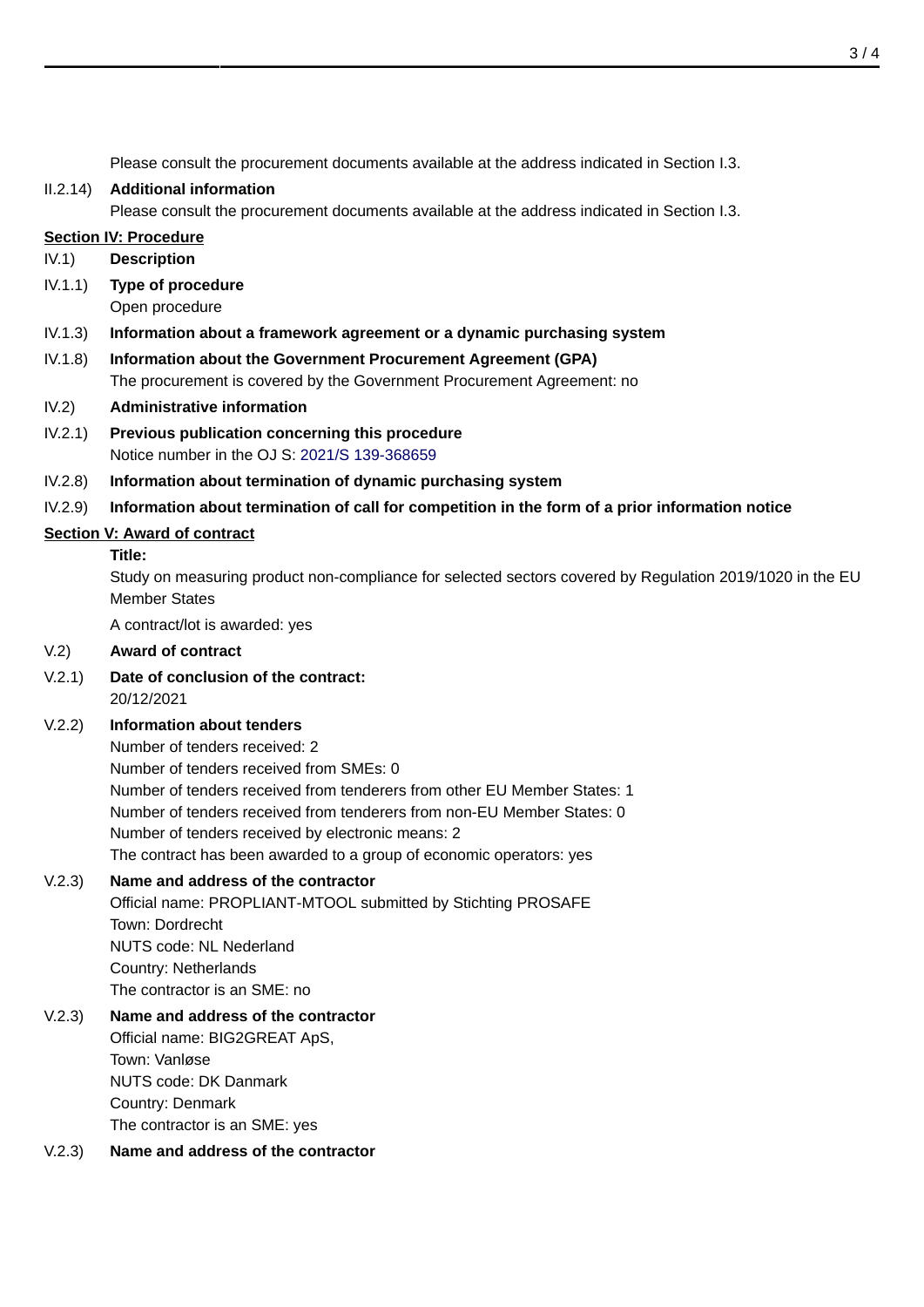Please consult the procurement documents available at the address indicated in Section I.3.

#### II.2.14) **Additional information**

Please consult the procurement documents available at the address indicated in Section I.3.

#### **Section IV: Procedure**

- IV.1) **Description**
- IV.1.1) **Type of procedure**

Open procedure

- IV.1.3) **Information about a framework agreement or a dynamic purchasing system**
- IV.1.8) **Information about the Government Procurement Agreement (GPA)** The procurement is covered by the Government Procurement Agreement: no
- IV.2) **Administrative information**
- IV.2.1) **Previous publication concerning this procedure** Notice number in the OJ S: [2021/S 139-368659](http://ted.europa.eu/udl?uri=TED:NOTICE:368659-2021:TEXT:EN:HTML)
- IV.2.8) **Information about termination of dynamic purchasing system**
- IV.2.9) **Information about termination of call for competition in the form of a prior information notice**

### **Section V: Award of contract**

#### **Title:**

Study on measuring product non-compliance for selected sectors covered by Regulation 2019/1020 in the EU Member States

A contract/lot is awarded: yes

### V.2) **Award of contract**

V.2.1) **Date of conclusion of the contract:** 20/12/2021

### V.2.2) **Information about tenders**

Number of tenders received: 2 Number of tenders received from SMEs: 0 Number of tenders received from tenderers from other EU Member States: 1 Number of tenders received from tenderers from non-EU Member States: 0 Number of tenders received by electronic means: 2 The contract has been awarded to a group of economic operators: yes

### V.2.3) **Name and address of the contractor**

Official name: PROPLIANT-MTOOL submitted by Stichting PROSAFE Town: Dordrecht NUTS code: NL Nederland Country: Netherlands The contractor is an SME: no

# V.2.3) **Name and address of the contractor** Official name: BIG2GREAT ApS, Town: Vanløse NUTS code: DK Danmark Country: Denmark The contractor is an SME: yes

### V.2.3) **Name and address of the contractor**